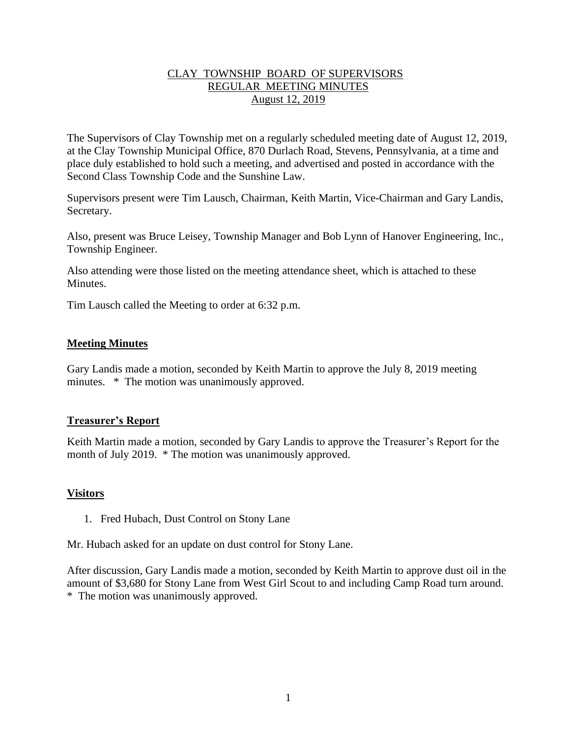## CLAY TOWNSHIP BOARD OF SUPERVISORS REGULAR MEETING MINUTES August 12, 2019

The Supervisors of Clay Township met on a regularly scheduled meeting date of August 12, 2019, at the Clay Township Municipal Office, 870 Durlach Road, Stevens, Pennsylvania, at a time and place duly established to hold such a meeting, and advertised and posted in accordance with the Second Class Township Code and the Sunshine Law.

Supervisors present were Tim Lausch, Chairman, Keith Martin, Vice-Chairman and Gary Landis, Secretary.

Also, present was Bruce Leisey, Township Manager and Bob Lynn of Hanover Engineering, Inc., Township Engineer.

Also attending were those listed on the meeting attendance sheet, which is attached to these **Minutes** 

Tim Lausch called the Meeting to order at 6:32 p.m.

### **Meeting Minutes**

Gary Landis made a motion, seconded by Keith Martin to approve the July 8, 2019 meeting minutes. \* The motion was unanimously approved.

### **Treasurer's Report**

Keith Martin made a motion, seconded by Gary Landis to approve the Treasurer's Report for the month of July 2019. \* The motion was unanimously approved.

## **Visitors**

1. Fred Hubach, Dust Control on Stony Lane

Mr. Hubach asked for an update on dust control for Stony Lane.

After discussion, Gary Landis made a motion, seconded by Keith Martin to approve dust oil in the amount of \$3,680 for Stony Lane from West Girl Scout to and including Camp Road turn around. \* The motion was unanimously approved.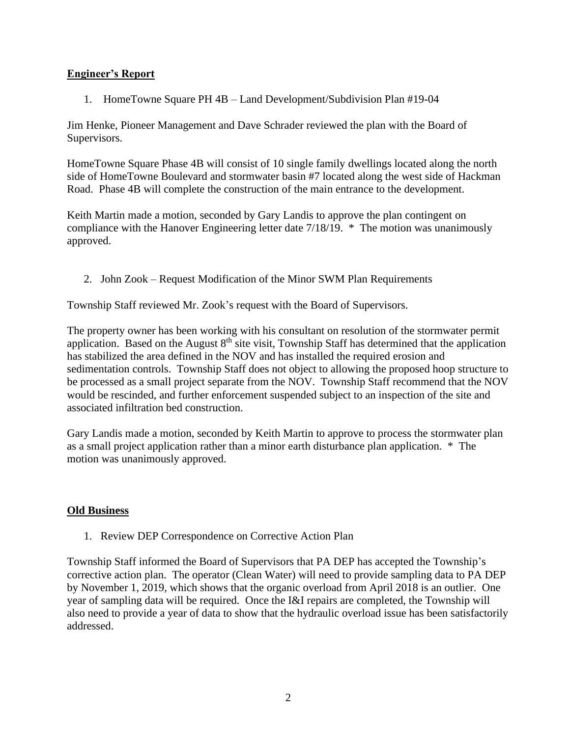## **Engineer's Report**

1. HomeTowne Square PH 4B – Land Development/Subdivision Plan #19-04

Jim Henke, Pioneer Management and Dave Schrader reviewed the plan with the Board of Supervisors.

HomeTowne Square Phase 4B will consist of 10 single family dwellings located along the north side of HomeTowne Boulevard and stormwater basin #7 located along the west side of Hackman Road. Phase 4B will complete the construction of the main entrance to the development.

Keith Martin made a motion, seconded by Gary Landis to approve the plan contingent on compliance with the Hanover Engineering letter date 7/18/19. \* The motion was unanimously approved.

2. John Zook – Request Modification of the Minor SWM Plan Requirements

Township Staff reviewed Mr. Zook's request with the Board of Supervisors.

The property owner has been working with his consultant on resolution of the stormwater permit application. Based on the August  $8<sup>th</sup>$  site visit, Township Staff has determined that the application has stabilized the area defined in the NOV and has installed the required erosion and sedimentation controls. Township Staff does not object to allowing the proposed hoop structure to be processed as a small project separate from the NOV. Township Staff recommend that the NOV would be rescinded, and further enforcement suspended subject to an inspection of the site and associated infiltration bed construction.

Gary Landis made a motion, seconded by Keith Martin to approve to process the stormwater plan as a small project application rather than a minor earth disturbance plan application. \* The motion was unanimously approved.

### **Old Business**

1. Review DEP Correspondence on Corrective Action Plan

Township Staff informed the Board of Supervisors that PA DEP has accepted the Township's corrective action plan. The operator (Clean Water) will need to provide sampling data to PA DEP by November 1, 2019, which shows that the organic overload from April 2018 is an outlier. One year of sampling data will be required. Once the I&I repairs are completed, the Township will also need to provide a year of data to show that the hydraulic overload issue has been satisfactorily addressed.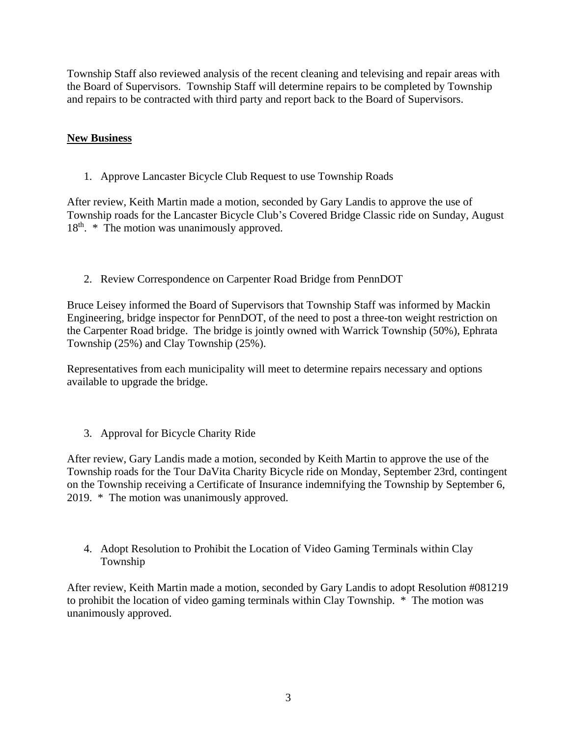Township Staff also reviewed analysis of the recent cleaning and televising and repair areas with the Board of Supervisors. Township Staff will determine repairs to be completed by Township and repairs to be contracted with third party and report back to the Board of Supervisors.

# **New Business**

1. Approve Lancaster Bicycle Club Request to use Township Roads

After review, Keith Martin made a motion, seconded by Gary Landis to approve the use of Township roads for the Lancaster Bicycle Club's Covered Bridge Classic ride on Sunday, August  $18<sup>th</sup>$ . \* The motion was unanimously approved.

2. Review Correspondence on Carpenter Road Bridge from PennDOT

Bruce Leisey informed the Board of Supervisors that Township Staff was informed by Mackin Engineering, bridge inspector for PennDOT, of the need to post a three-ton weight restriction on the Carpenter Road bridge. The bridge is jointly owned with Warrick Township (50%), Ephrata Township (25%) and Clay Township (25%).

Representatives from each municipality will meet to determine repairs necessary and options available to upgrade the bridge.

3. Approval for Bicycle Charity Ride

After review, Gary Landis made a motion, seconded by Keith Martin to approve the use of the Township roads for the Tour DaVita Charity Bicycle ride on Monday, September 23rd, contingent on the Township receiving a Certificate of Insurance indemnifying the Township by September 6, 2019. \* The motion was unanimously approved.

4. Adopt Resolution to Prohibit the Location of Video Gaming Terminals within Clay Township

After review, Keith Martin made a motion, seconded by Gary Landis to adopt Resolution #081219 to prohibit the location of video gaming terminals within Clay Township. \* The motion was unanimously approved.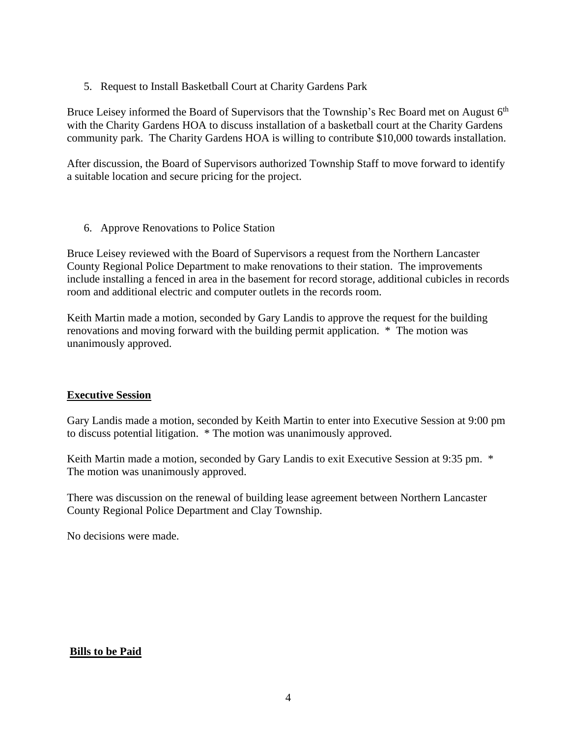5. Request to Install Basketball Court at Charity Gardens Park

Bruce Leisey informed the Board of Supervisors that the Township's Rec Board met on August  $6<sup>th</sup>$ with the Charity Gardens HOA to discuss installation of a basketball court at the Charity Gardens community park. The Charity Gardens HOA is willing to contribute \$10,000 towards installation.

After discussion, the Board of Supervisors authorized Township Staff to move forward to identify a suitable location and secure pricing for the project.

6. Approve Renovations to Police Station

Bruce Leisey reviewed with the Board of Supervisors a request from the Northern Lancaster County Regional Police Department to make renovations to their station. The improvements include installing a fenced in area in the basement for record storage, additional cubicles in records room and additional electric and computer outlets in the records room.

Keith Martin made a motion, seconded by Gary Landis to approve the request for the building renovations and moving forward with the building permit application. \* The motion was unanimously approved.

## **Executive Session**

Gary Landis made a motion, seconded by Keith Martin to enter into Executive Session at 9:00 pm to discuss potential litigation. \* The motion was unanimously approved.

Keith Martin made a motion, seconded by Gary Landis to exit Executive Session at 9:35 pm.  $*$ The motion was unanimously approved.

There was discussion on the renewal of building lease agreement between Northern Lancaster County Regional Police Department and Clay Township.

No decisions were made.

### **Bills to be Paid**